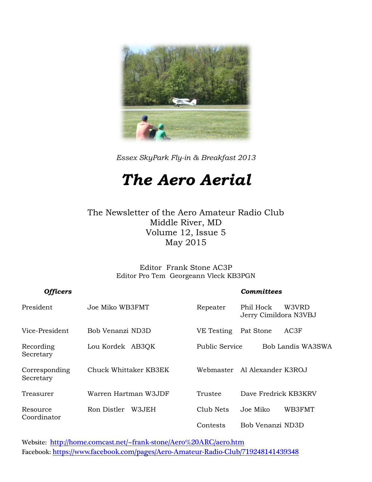

*Essex SkyPark Fly-in & Breakfast 2013*

# *The Aero Aerial*

The Newsletter of the Aero Amateur Radio Club Middle River, MD Volume 12, Issue 5 May 2015

> Editor Frank Stone AC3P Editor Pro Tem Georgeann Vleck KB3PGN

| <b>Officers</b>            |                       |                       | Committees                                  |
|----------------------------|-----------------------|-----------------------|---------------------------------------------|
| President                  | Joe Miko WB3FMT       | Repeater              | Phil Hock<br>W3VRD<br>Jerry Cimildora N3VBJ |
| Vice-President             | Bob Venanzi ND3D      | VE Testing            | AC3F<br>Pat Stone                           |
| Recording<br>Secretary     | Lou Kordek AB3QK      | <b>Public Service</b> | Bob Landis WA3SWA                           |
| Corresponding<br>Secretary | Chuck Whittaker KB3EK |                       | Webmaster – Al Alexander K3ROJ              |
| Treasurer                  | Warren Hartman W3JDF  | Trustee               | Dave Fredrick KB3KRV                        |
| Resource<br>Coordinator    | Ron Distler<br>W3JEH  | Club Nets             | WB3FMT<br>Joe Miko                          |
|                            |                       | Contests              | Bob Venanzi ND3D                            |

Website: <http://home.comcast.net/~frank-stone/Aero%20ARC/aero.htm> Facebook: <https://www.facebook.com/pages/Aero-Amateur-Radio-Club/719248141439348>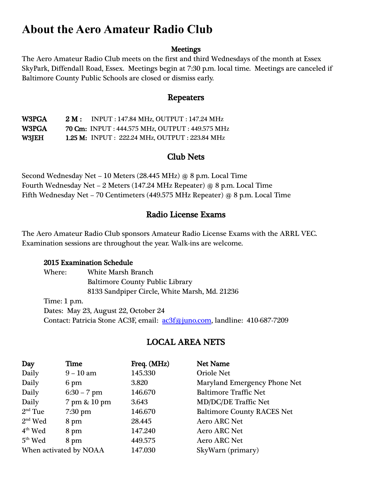# **About the Aero Amateur Radio Club**

#### **Meetings**

The Aero Amateur Radio Club meets on the first and third Wednesdays of the month at Essex SkyPark, Diffendall Road, Essex. Meetings begin at 7:30 p.m. local time. Meetings are canceled if Baltimore County Public Schools are closed or dismiss early.

#### Repeaters

W3PGA 2 M : INPUT : 147.84 MHz, OUTPUT : 147.24 MHz W3PGA 70 Cm: INPUT : 444.575 MHz, OUTPUT : 449.575 MHz W3JEH 1.25 M: INPUT : 222.24 MHz, OUTPUT : 223.84 MHz

#### Club Nets

Second Wednesday Net – 10 Meters (28.445 MHz) @ 8 p.m. Local Time Fourth Wednesday Net – 2 Meters (147.24 MHz Repeater) @ 8 p.m. Local Time Fifth Wednesday Net – 70 Centimeters (449.575 MHz Repeater) @ 8 p.m. Local Time

#### Radio License Exams

The Aero Amateur Radio Club sponsors Amateur Radio License Exams with the ARRL VEC. Examination sessions are throughout the year. Walk-ins are welcome.

#### 2015 Examination Schedule

Where: White Marsh Branch Baltimore County Public Library 8133 Sandpiper Circle, White Marsh, Md. 21236 Time: 1 p.m. Dates: May 23, August 22, October 24 Contact: Patricia Stone AC3F, email: [ac3f@juno.com,](mailto:ac3f@juno.com) landline: 410-687-7209

#### LOCAL AREA NETS

| Day                    | Time          | Freq. (MHz) | <b>Net Name</b>                   |
|------------------------|---------------|-------------|-----------------------------------|
| Daily                  | $9 - 10$ am   | 145.330     | <b>Oriole Net</b>                 |
| Daily                  | 6 pm          | 3.820       | Maryland Emergency Phone Net      |
| Daily                  | $6:30 - 7$ pm | 146.670     | <b>Baltimore Traffic Net</b>      |
| Daily                  | 7 pm & 10 pm  | 3.643       | <b>MD/DC/DE Traffic Net</b>       |
| $2nd$ Tue              | $7:30$ pm     | 146.670     | <b>Baltimore County RACES Net</b> |
| $2nd$ Wed              | 8 pm          | 28.445      | <b>Aero ARC Net</b>               |
| $4th$ Wed              | 8 pm          | 147.240     | <b>Aero ARC Net</b>               |
| $5th$ Wed              | 8 pm          | 449.575     | <b>Aero ARC Net</b>               |
| When activated by NOAA |               | 147.030     | SkyWarn (primary)                 |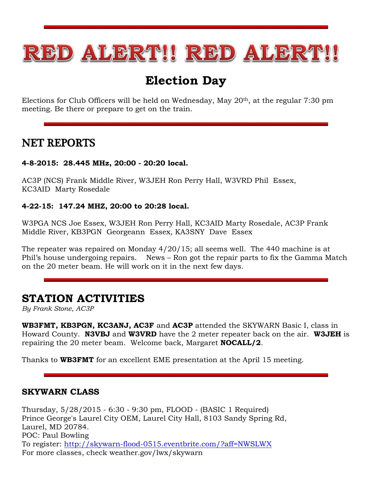

# **Election Day**

Elections for Club Officers will be held on Wednesday, May 20th, at the regular 7:30 pm meeting. Be there or prepare to get on the train.

#### NET REPORTS

#### **4-8-2015: 28.445 MHz, 20:00 - 20:20 local.**

AC3P (NCS) Frank Middle River, W3JEH Ron Perry Hall, W3VRD Phil Essex, KC3AID Marty Rosedale

#### **4-22-15: 147.24 MHZ, 20:00 to 20:28 local.**

W3PGA NCS Joe Essex, W3JEH Ron Perry Hall, KC3AID Marty Rosedale, AC3P Frank Middle River, KB3PGN Georgeann Essex, KA3SNY Dave Essex

The repeater was repaired on Monday 4/20/15; all seems well. The 440 machine is at Phil's house undergoing repairs. News – Ron got the repair parts to fix the Gamma Match on the 20 meter beam. He will work on it in the next few days.

### **STATION ACTIVITIES**

*By Frank Stone, AC3P*

**WB3FMT, KB3PGN, KC3ANJ, AC3F** and **AC3P** attended the SKYWARN Basic I, class in Howard County. **N3VBJ** and **W3VRD** have the 2 meter repeater back on the air. **W3JEH** is repairing the 20 meter beam. Welcome back, Margaret **NOCALL/2**.

Thanks to **WB3FMT** for an excellent EME presentation at the April 15 meeting.

#### **SKYWARN CLASS**

Thursday, 5/28/2015 - 6:30 - 9:30 pm, FLOOD - (BASIC 1 Required) Prince George's Laurel City OEM, Laurel City Hall, 8103 Sandy Spring Rd, Laurel, MD 20784. POC: Paul Bowling To register:<http://skywarn-flood-0515.eventbrite.com/?aff=NWSLWX> For more classes, check weather.gov/lwx/skywarn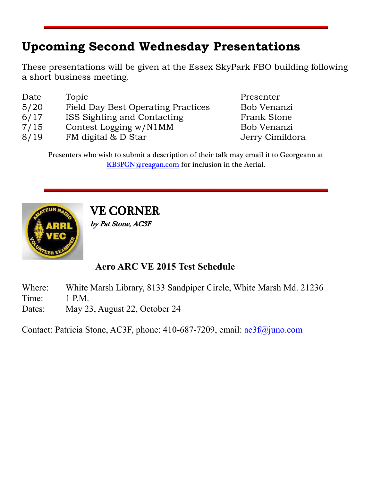# **Upcoming Second Wednesday Presentations**

These presentations will be given at the Essex SkyPark FBO building following a short business meeting.

| Date | Topic                                     | Presenter          |
|------|-------------------------------------------|--------------------|
| 5/20 | <b>Field Day Best Operating Practices</b> | Bob Venanzi        |
| 6/17 | ISS Sighting and Contacting               | <b>Frank Stone</b> |
| 7/15 | Contest Logging w/N1MM                    | Bob Venanzi        |
| 8/19 | FM digital & D Star                       | Jerry Cimildora    |
|      |                                           |                    |

Presenters who wish to submit a description of their talk may email it to Georgeann at [KB3PGN@reagan.com](mailto:KB3PGN@reagan.com) for inclusion in the Aerial.



VE CORNER

by Pat Stone, AC3F

#### **Aero ARC VE 2015 Test Schedule**

Where: White Marsh Library, 8133 Sandpiper Circle, White Marsh Md. 21236

Time: 1 P.M.

Dates: May 23, August 22, October 24

Contact: Patricia Stone, AC3F, phone: 410-687-7209, email: [ac3f@juno.com](mailto:ac3f@juno.com)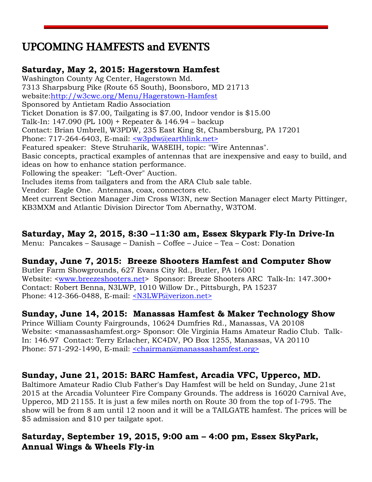# UPCOMING HAMFESTS and EVENTS

#### **Saturday, May 2, 2015: Hagerstown Hamfest**

Washington County Ag Center, Hagerstown Md. 7313 Sharpsburg Pike (Route 65 South), Boonsboro, MD 21713 website[:http://w3cwc.org/Menu/Hagerstown-Hamfest](http://w3cwc.org/Menu/Hagerstown-Hamfest) Sponsored by Antietam Radio Association Ticket Donation is \$7.00, Tailgating is \$7.00, Indoor vendor is \$15.00 Talk-In: 147.090 (PL 100) + Repeater & 146.94 – backup Contact: Brian Umbrell, W3PDW, 235 East King St, Chambersburg, PA 17201 Phone: 717-264-6403, E-mail: [<w3pdw@earthlink.net>](mailto:w3pdw@earthlink.net) Featured speaker: Steve Struharik, WA8EIH, topic: "Wire Antennas". Basic concepts, practical examples of antennas that are inexpensive and easy to build, and ideas on how to enhance station performance. Following the speaker: "Left-Over" Auction. Includes items from tailgaters and from the ARA Club sale table. Vendor: Eagle One. Antennas, coax, connectors etc. Meet current Section Manager Jim Cross WI3N, new Section Manager elect Marty Pittinger, KB3MXM and Atlantic Division Director Tom Abernathy, W3TOM.

#### **Saturday, May 2, 2015, 8:30 –11:30 am, Essex Skypark Fly-In Drive-In**

Menu: Pancakes – Sausage – Danish – Coffee – Juice – Tea – Cost: Donation

#### **Sunday, June 7, 2015: Breeze Shooters Hamfest and Computer Show**

Butler Farm Showgrounds, 627 Evans City Rd., Butler, PA 16001 Website: [<www.breezeshooters.net>](http://www.breezeshooters.net/) Sponsor: Breeze Shooters ARC Talk-In: 147.300+ Contact: Robert Benna, N3LWP, 1010 Willow Dr., Pittsburgh, PA 15237 Phone: 412-366-0488, E-mail: [<N3LWP@verizon.net>](mailto:N3LWP@verizon.net)

#### **Sunday, June 14, 2015: Manassas Hamfest & Maker Technology Show**

Prince William County Fairgrounds, 10624 Dumfries Rd., Manassas, VA 20108 Website: <manassashamfest.org> Sponsor: Ole Virginia Hams Amateur Radio Club. Talk-In: 146.97 Contact: Terry Erlacher, KC4DV, PO Box 1255, Manassas, VA 20110 Phone: 571-292-1490, E-mail: [<chairman@manassashamfest.org>](mailto:%3cchairman@manassashamfest.org%3e)

#### **Sunday, June 21, 2015: BARC Hamfest, Arcadia VFC, Upperco, MD.**

Baltimore Amateur Radio Club Father's Day Hamfest will be held on Sunday, June 21st 2015 at the Arcadia Volunteer Fire Company Grounds. The address is 16020 Carnival Ave, Upperco, MD 21155. It is just a few miles north on Route 30 from the top of I-795. The show will be from 8 am until 12 noon and it will be a TAILGATE hamfest. The prices will be \$5 admission and \$10 per tailgate spot.

#### **Saturday, September 19, 2015, 9:00 am – 4:00 pm, Essex SkyPark, Annual Wings & Wheels Fly-in**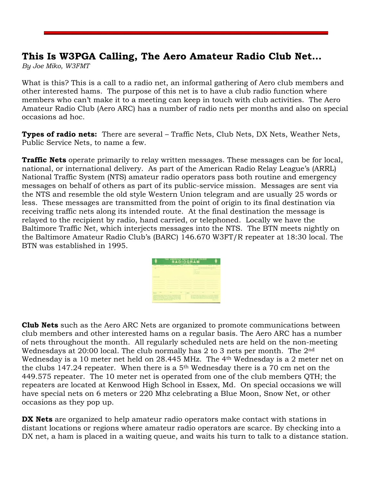#### **This Is W3PGA Calling, The Aero Amateur Radio Club Net…**

*By Joe Miko, W3FMT*

What is this? This is a call to a radio net, an informal gathering of Aero club members and other interested hams. The purpose of this net is to have a club radio function where members who can't make it to a meeting can keep in touch with club activities. The Aero Amateur Radio Club (Aero ARC) has a number of radio nets per months and also on special occasions ad hoc.

**Types of radio nets:** There are several – Traffic Nets, Club Nets, DX Nets, Weather Nets, Public Service Nets, to name a few.

**Traffic Nets** operate primarily to relay written messages. These messages can be for local, national, or international delivery. As part of the American Radio Relay League's (ARRL) National Traffic System (NTS) amateur radio operators pass both routine and emergency messages on behalf of others as part of its public-service mission. Messages are sent via the NTS and resemble the old style Western Union telegram and are usually 25 words or less. These messages are transmitted from the point of origin to its final destination via receiving traffic nets along its intended route. At the final destination the message is relayed to the recipient by radio, hand carried, or telephoned. Locally we have the Baltimore Traffic Net, which interjects messages into the NTS. The BTN meets nightly on the Baltimore Amateur Radio Club's (BARC) 146.670 W3FT/R repeater at 18:30 local. The BTN was established in 1995.

|                                                                                                                                                                                                                                                                                                                                                                                                                                                                                                                                              | THE AMERICAN RADIO RELAY LEAGUE | <b>RADIOGRAM</b> |                         |                                               |                                                                  |                                                                                                                                                                                                                                                                                         |
|----------------------------------------------------------------------------------------------------------------------------------------------------------------------------------------------------------------------------------------------------------------------------------------------------------------------------------------------------------------------------------------------------------------------------------------------------------------------------------------------------------------------------------------------|---------------------------------|------------------|-------------------------|-----------------------------------------------|------------------------------------------------------------------|-----------------------------------------------------------------------------------------------------------------------------------------------------------------------------------------------------------------------------------------------------------------------------------------|
| --<br>TO                                                                                                                                                                                                                                                                                                                                                                                                                                                                                                                                     | <b>Rockers of Street</b><br>٠   | <b>STATE</b>     | <b>TIA AMATEUN BASE</b> | <b>Suite of Contract</b><br><b>STATISTICS</b> | THIS RAZIO AM SEALER WAS MECHANICALLY                            | <b>San Angeler</b>                                                                                                                                                                                                                                                                      |
| <b>And Southern</b>                                                                                                                                                                                                                                                                                                                                                                                                                                                                                                                          |                                 |                  |                         |                                               |                                                                  |                                                                                                                                                                                                                                                                                         |
|                                                                                                                                                                                                                                                                                                                                                                                                                                                                                                                                              |                                 |                  |                         |                                               |                                                                  |                                                                                                                                                                                                                                                                                         |
| -                                                                                                                                                                                                                                                                                                                                                                                                                                                                                                                                            |                                 |                  |                         |                                               |                                                                  | ÷                                                                                                                                                                                                                                                                                       |
| ntinti                                                                                                                                                                                                                                                                                                                                                                                                                                                                                                                                       |                                 |                  | DEMT                    |                                               | -                                                                |                                                                                                                                                                                                                                                                                         |
| <b>Additional and Continued Associated States and Continued Associated Associates and Associates Associates</b><br>presented makes excess in himself or his and of most makes an easier<br>without all colors to data a six has a procedure of changing attended<br>restation can be discovered at a least dealership is serious between<br>an a present with the state interesting for access to set install<br>permanental las agentes maneirado de refolueiro recen altres sondo<br>most time are some integral personality college and a |                                 |                  |                         |                                               | fied committee which we've the box and the box mediting partner. | stations of antiquity plans have the true to the manufacture and game.<br>the cost of 23 Executive Companies of Europe Manufacturers<br>tering carried capacity and many from the dead shall that can be cap interesting<br>or entirely called changing part patiented without boundary |

**Club Nets** such as the Aero ARC Nets are organized to promote communications between club members and other interested hams on a regular basis. The Aero ARC has a number of nets throughout the month. All regularly scheduled nets are held on the non-meeting Wednesdays at 20:00 local. The club normally has 2 to 3 nets per month. The 2nd Wednesday is a 10 meter net held on 28.445 MHz. The 4th Wednesday is a 2 meter net on the clubs 147.24 repeater. When there is a  $5<sup>th</sup>$  Wednesday there is a 70 cm net on the 449.575 repeater. The 10 meter net is operated from one of the club members QTH; the repeaters are located at Kenwood High School in Essex, Md. On special occasions we will have special nets on 6 meters or 220 Mhz celebrating a Blue Moon, Snow Net, or other occasions as they pop up.

**DX Nets** are organized to help amateur radio operators make contact with stations in distant locations or regions where amateur radio operators are scarce. By checking into a DX net, a ham is placed in a waiting queue, and waits his turn to talk to a distance station.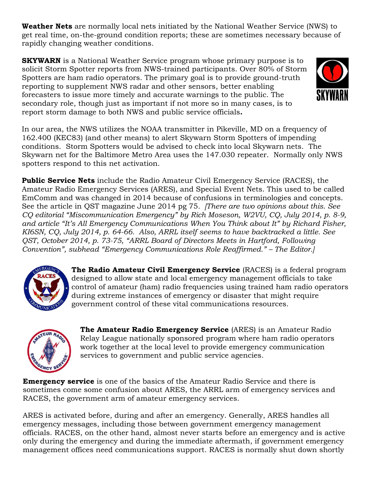**Weather Nets** are normally local nets initiated by the National Weather Service (NWS) to get real time, on-the-ground condition reports; these are sometimes necessary because of rapidly changing weather conditions.

**SKYWARN** is a National Weather Service program whose primary purpose is to solicit Storm Spotter reports from NWS-trained participants. Over 80% of Storm Spotters are ham radio operators. The primary goal is to provide ground-truth reporting to supplement NWS radar and other sensors, better enabling forecasters to issue more timely and accurate warnings to the public. The secondary role, though just as important if not more so in many cases, is to report storm damage to both NWS and public service officials**.**



In our area, the NWS utilizes the NOAA transmitter in Pikeville, MD on a frequency of 162.400 (KEC83) (and other means) to alert Skywarn Storm Spotters of impending conditions. Storm Spotters would be advised to check into local Skywarn nets. The Skywarn net for the Baltimore Metro Area uses the 147.030 repeater. Normally only NWS spotters respond to this net activation.

**Public Service Nets** include the Radio Amateur Civil Emergency Service (RACES), the Amateur Radio Emergency Services (ARES), and Special Event Nets. This used to be called EmComm and was changed in 2014 because of confusions in terminologies and concepts. See the article in QST magazine June 2014 pg 75*. [There are two opinions about this. See CQ editorial "Miscommunication Emergency" by Rich Moseson, W2VU, CQ, July 2014, p. 8-9, and article "It's All Emergency Communications When You Think about It" by Richard Fisher, KI6SN, CQ, July 2014, p. 64-66. Also, ARRL itself seems to have backtracked a little. See QST, October 2014, p. 73-75, "ARRL Board of Directors Meets in Hartford, Following Convention", subhead "Emergency Communications Role Reaffirmed." – The Editor.]*



**The Radio Amateur Civil Emergency Service** (RACES) is a federal program designed to allow state and local emergency management officials to take control of amateur (ham) radio frequencies using trained ham radio operators during extreme instances of emergency or disaster that might require government control of these vital communications resources.



**The Amateur Radio Emergency Service** (ARES) is an Amateur Radio Relay League nationally sponsored program where ham radio operators work together at the local level to provide emergency communication services to government and public service agencies.

**Emergency service** is one of the basics of the Amateur Radio Service and there is sometimes come some confusion about ARES, the ARRL arm of emergency services and RACES, the government arm of amateur emergency services.

ARES is activated before, during and after an emergency. Generally, ARES handles all emergency messages, including those between government emergency management officials. RACES, on the other hand, almost never starts before an emergency and is active only during the emergency and during the immediate aftermath, if government emergency management offices need communications support. RACES is normally shut down shortly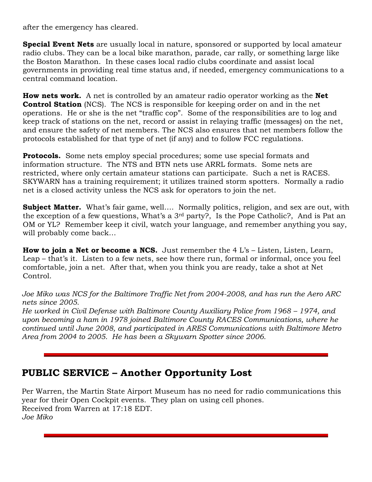after the emergency has cleared.

**Special Event Nets** are usually local in nature, sponsored or supported by local amateur radio clubs. They can be a local bike marathon, parade, car rally, or something large like the Boston Marathon. In these cases local radio clubs coordinate and assist local governments in providing real time status and, if needed, emergency communications to a central command location.

**How nets work.** A net is controlled by an amateur radio operator working as the **Net Control Station** (NCS). The NCS is responsible for keeping order on and in the net operations. He or she is the net "traffic cop". Some of the responsibilities are to log and keep track of stations on the net, record or assist in relaying traffic (messages) on the net, and ensure the safety of net members. The NCS also ensures that net members follow the protocols established for that type of net (if any) and to follow FCC regulations.

**Protocols.** Some nets employ special procedures; some use special formats and information structure. The NTS and BTN nets use ARRL formats. Some nets are restricted, where only certain amateur stations can participate. Such a net is RACES. SKYWARN has a training requirement; it utilizes trained storm spotters. Normally a radio net is a closed activity unless the NCS ask for operators to join the net.

**Subject Matter.** What's fair game, well.... Normally politics, religion, and sex are out, with the exception of a few questions, What's a 3rd party?, Is the Pope Catholic?, And is Pat an OM or YL? Remember keep it civil, watch your language, and remember anything you say, will probably come back…

**How to join a Net or become a NCS.** Just remember the 4 L's – Listen, Listen, Learn, Leap – that's it. Listen to a few nets, see how there run, formal or informal, once you feel comfortable, join a net. After that, when you think you are ready, take a shot at Net Control.

*Joe Miko was NCS for the Baltimore Traffic Net from 2004-2008, and has run the Aero ARC nets since 2005.*

*He worked in Civil Defense with Baltimore County Auxiliary Police from 1968 – 1974, and upon becoming a ham in 1978 joined Baltimore County RACES Communications, where he continued until June 2008, and participated in ARES Communications with Baltimore Metro Area from 2004 to 2005. He has been a Skywarn Spotter since 2006.*

#### **PUBLIC SERVICE – Another Opportunity Lost**

Per Warren, the Martin State Airport Museum has no need for radio communications this year for their Open Cockpit events. They plan on using cell phones. Received from Warren at 17:18 EDT. *Joe Miko*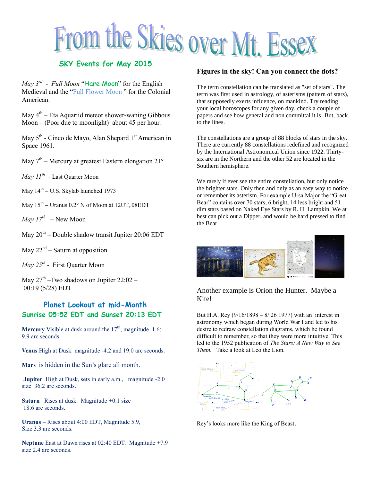# From the Skies over Mt. Essex

*May 3rd - Full Moon* "Hare Moon" for the English Medieval and the "Full Flower Moon " for the Colonial American.

May  $4<sup>th</sup>$  – Eta Aquariid meteor shower-waning Gibbous Moon – (Poor due to moonlight) about 45 per hour.

May 5<sup>th</sup> - Cinco de Mayo, Alan Shepard 1<sup>st</sup> American in Space 1961.

May  $7<sup>th</sup>$  – Mercury at greatest Eastern elongation 21°

*May 11th -* Last Quarter Moon

May  $14<sup>th</sup> - U.S.$  Skylab launched 1973

May  $15^{\text{th}}$  – Uranus 0.2° N of Moon at 12UT, 08EDT

*May 17th –* New Moon

May  $20^{th}$  – Double shadow transit Jupiter 20:06 EDT

May  $22^{nd}$  – Saturn at opposition

*May 25th -* First Quarter Moon

May  $27^{\text{th}}$  -Two shadows on Jupiter 22:02 -00:19 (5/28) EDT

#### **Planet Lookout at mid-Month Sunrise 05:52 EDT and Sunset 20:13 EDT**

**Mercury** Visible at dusk around the  $17<sup>th</sup>$ , magnitude 1.6; 9.9 arc seconds

**Venus** High at Dusk magnitude -4.2 and 19.0 arc seconds.

**Mars** is hidden in the Sun's glare all month.

**Jupiter** High at Dusk, sets in early a.m., magnitude -2.0 size 36.2 arc seconds.

**Saturn** Rises at dusk. Magnitude +0.1 size 18.6 arc seconds.

**Uranus** – Rises about 4:00 EDT, Magnitude 5.9, Size 3.3 arc seconds.

**Neptune** East at Dawn rises at 02:40 EDT. Magnitude +7.9 size 2.4 arc seconds.

#### **Figures in the sky! Can you connect the dots?**

The term constellation can be translated as "set of stars". The term was first used in astrology, of asterisms (pattern of stars), that supposedly exerts influence, on mankind. Try reading your local horoscopes for any given day, check a couple of papers and see how general and non committal it is! But, back to the lines.

The constellations are a group of 88 blocks of stars in the sky. There are currently 88 constellations redefined and recognized by the International Astronomical Union since 1922. Thirtysix are in the Northern and the other 52 are located in the Southern hemisphere.

We rarely if ever see the entire constellation, but only notice the brighter stars. Only then and only as an easy way to notice or remember its asterism. For example Ursa Major the "Great Bear" contains over 70 stars, 6 bright, 14 less bright and 51 dim stars based on Naked Eye Stars by R. H. Lampkin. We at best can pick out a Dipper, and would be hard pressed to find the Bear.

|  | Orion |
|--|-------|
|  |       |

#### Another example is Orion the Hunter. Maybe a Kite!

But H.A. Rey (9/16/1898 – 8/ 26 1977) with an interest in astronomy which began during World War I and led to his desire to redraw constellation diagrams, which he found difficult to remember, so that they were more intuitive. This led to the 1952 publication of *The Stars: A New Way to See Them.* Take a look at Leo the Lion.



Rey's looks more like the King of Beast.